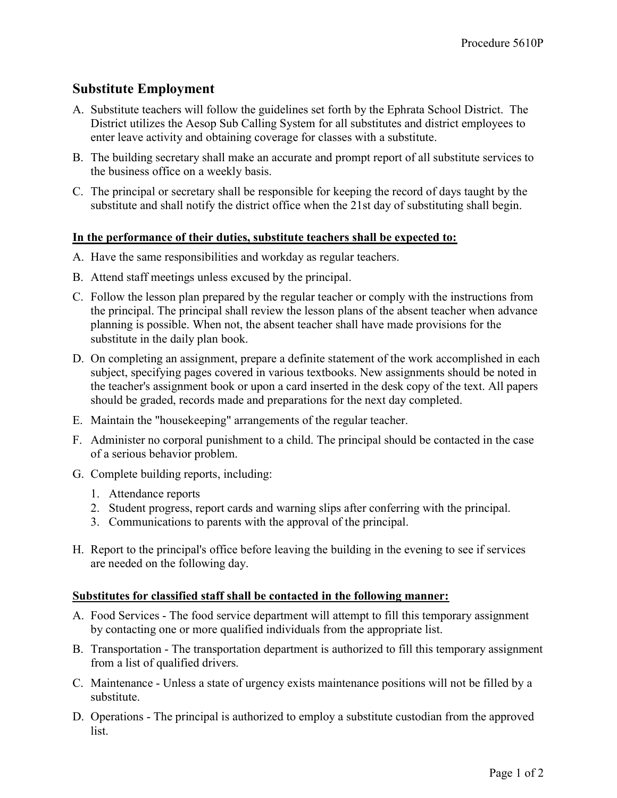## Substitute Employment

- A. Substitute teachers will follow the guidelines set forth by the Ephrata School District. The District utilizes the Aesop Sub Calling System for all substitutes and district employees to enter leave activity and obtaining coverage for classes with a substitute.
- B. The building secretary shall make an accurate and prompt report of all substitute services to the business office on a weekly basis.
- C. The principal or secretary shall be responsible for keeping the record of days taught by the substitute and shall notify the district office when the 21st day of substituting shall begin.

## In the performance of their duties, substitute teachers shall be expected to:

- A. Have the same responsibilities and workday as regular teachers.
- B. Attend staff meetings unless excused by the principal.
- C. Follow the lesson plan prepared by the regular teacher or comply with the instructions from the principal. The principal shall review the lesson plans of the absent teacher when advance planning is possible. When not, the absent teacher shall have made provisions for the substitute in the daily plan book.
- D. On completing an assignment, prepare a definite statement of the work accomplished in each subject, specifying pages covered in various textbooks. New assignments should be noted in the teacher's assignment book or upon a card inserted in the desk copy of the text. All papers should be graded, records made and preparations for the next day completed.
- E. Maintain the "housekeeping" arrangements of the regular teacher.
- F. Administer no corporal punishment to a child. The principal should be contacted in the case of a serious behavior problem.
- G. Complete building reports, including:
	- 1. Attendance reports
	- 2. Student progress, report cards and warning slips after conferring with the principal.
	- 3. Communications to parents with the approval of the principal.
- H. Report to the principal's office before leaving the building in the evening to see if services are needed on the following day.

## Substitutes for classified staff shall be contacted in the following manner:

- A. Food Services The food service department will attempt to fill this temporary assignment by contacting one or more qualified individuals from the appropriate list.
- B. Transportation The transportation department is authorized to fill this temporary assignment from a list of qualified drivers.
- C. Maintenance Unless a state of urgency exists maintenance positions will not be filled by a substitute.
- D. Operations The principal is authorized to employ a substitute custodian from the approved list.